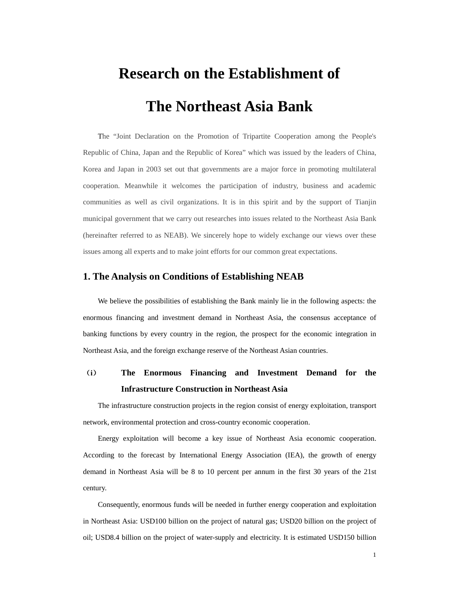# **Research on the Establishment of The Northeast Asia Bank**

The "Joint Declaration on the Promotion of Tripartite Cooperation among the People's Republic of China, Japan and the Republic of Korea" which was issued by the leaders of China, Korea and Japan in 2003 set out that governments are a major force in promoting multilateral cooperation. Meanwhile it welcomes the participation of industry, business and academic communities as well as civil organizations. It is in this spirit and by the support of Tianjin municipal government that we carry out researches into issues related to the Northeast Asia Bank (hereinafter referred to as NEAB). We sincerely hope to widely exchange our views over these issues among all experts and to make joint efforts for our common great expectations.

## **1. The Analysis on Conditions of Establishing NEAB**

We believe the possibilities of establishing the Bank mainly lie in the following aspects: the enormous financing and investment demand in Northeast Asia, the consensus acceptance of banking functions by every country in the region, the prospect for the economic integration in Northeast Asia, and the foreign exchange reserve of the Northeast Asian countries.

# (**i**) **The Enormous Financing and Investment Demand for the Infrastructure Construction in Northeast Asia**

The infrastructure construction projects in the region consist of energy exploitation, transport network, environmental protection and cross-country economic cooperation.

Energy exploitation will become a key issue of Northeast Asia economic cooperation. According to the forecast by International Energy Association (IEA), the growth of energy demand in Northeast Asia will be 8 to 10 percent per annum in the first 30 years of the 21st century.

Consequently, enormous funds will be needed in further energy cooperation and exploitation in Northeast Asia: USD100 billion on the project of natural gas; USD20 billion on the project of oil; USD8.4 billion on the project of water-supply and electricity. It is estimated USD150 billion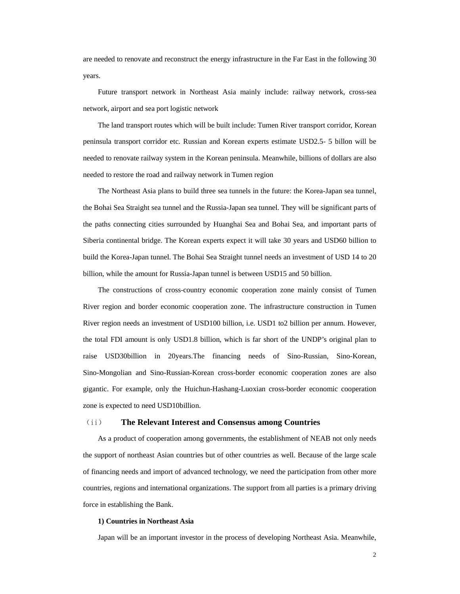are needed to renovate and reconstruct the energy infrastructure in the Far East in the following 30 years.

Future transport network in Northeast Asia mainly include: railway network, cross-sea network, airport and sea port logistic network

The land transport routes which will be built include: Tumen River transport corridor, Korean peninsula transport corridor etc. Russian and Korean experts estimate USD2.5- 5 billon will be needed to renovate railway system in the Korean peninsula. Meanwhile, billions of dollars are also needed to restore the road and railway network in Tumen region

The Northeast Asia plans to build three sea tunnels in the future: the Korea-Japan sea tunnel, the Bohai Sea Straight sea tunnel and the Russia-Japan sea tunnel. They will be significant parts of the paths connecting cities surrounded by Huanghai Sea and Bohai Sea, and important parts of Siberia continental bridge. The Korean experts expect it will take 30 years and USD60 billion to build the Korea-Japan tunnel. The Bohai Sea Straight tunnel needs an investment of USD 14 to 20 billion, while the amount for Russia-Japan tunnel is between USD15 and 50 billion.

The constructions of cross-country economic cooperation zone mainly consist of Tumen River region and border economic cooperation zone. The infrastructure construction in Tumen River region needs an investment of USD100 billion, i.e. USD1 to2 billion per annum. However, the total FDI amount is only USD1.8 billion, which is far short of the UNDP's original plan to raise USD30billion in 20years.The financing needs of Sino-Russian, Sino-Korean, Sino-Mongolian and Sino-Russian-Korean cross-border economic cooperation zones are also gigantic. For example, only the Huichun-Hashang-Luoxian cross-border economic cooperation zone is expected to need USD10billion.

### (ii) **The Relevant Interest and Consensus among Countries**

As a product of cooperation among governments, the establishment of NEAB not only needs the support of northeast Asian countries but of other countries as well. Because of the large scale of financing needs and import of advanced technology, we need the participation from other more countries, regions and international organizations. The support from all parties is a primary driving force in establishing the Bank.

#### **1) Countries in Northeast Asia**

Japan will be an important investor in the process of developing Northeast Asia. Meanwhile,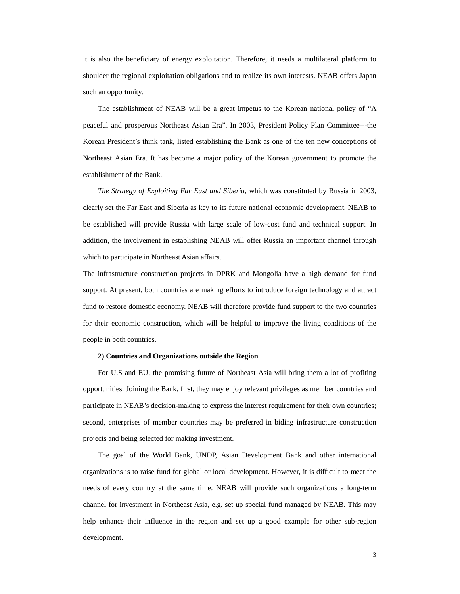it is also the beneficiary of energy exploitation. Therefore, it needs a multilateral platform to shoulder the regional exploitation obligations and to realize its own interests. NEAB offers Japan such an opportunity.

The establishment of NEAB will be a great impetus to the Korean national policy of "A peaceful and prosperous Northeast Asian Era". In 2003, President Policy Plan Committee---the Korean President's think tank, listed establishing the Bank as one of the ten new conceptions of Northeast Asian Era. It has become a major policy of the Korean government to promote the establishment of the Bank.

*The Strategy of Exploiting Far East and Siberia*, which was constituted by Russia in 2003, clearly set the Far East and Siberia as key to its future national economic development. NEAB to be established will provide Russia with large scale of low-cost fund and technical support. In addition, the involvement in establishing NEAB will offer Russia an important channel through which to participate in Northeast Asian affairs.

The infrastructure construction projects in DPRK and Mongolia have a high demand for fund support. At present, both countries are making efforts to introduce foreign technology and attract fund to restore domestic economy. NEAB will therefore provide fund support to the two countries for their economic construction, which will be helpful to improve the living conditions of the people in both countries.

#### **2) Countries and Organizations outside the Region**

For U.S and EU, the promising future of Northeast Asia will bring them a lot of profiting opportunities. Joining the Bank, first, they may enjoy relevant privileges as member countries and participate in NEAB's decision-making to express the interest requirement for their own countries; second, enterprises of member countries may be preferred in biding infrastructure construction projects and being selected for making investment.

The goal of the World Bank, UNDP, Asian Development Bank and other international organizations is to raise fund for global or local development. However, it is difficult to meet the needs of every country at the same time. NEAB will provide such organizations a long-term channel for investment in Northeast Asia, e.g. set up special fund managed by NEAB. This may help enhance their influence in the region and set up a good example for other sub-region development.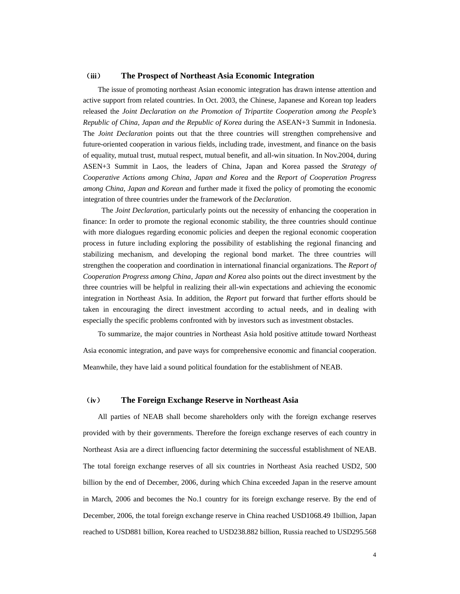#### (**iii**) **The Prospect of Northeast Asia Economic Integration**

The issue of promoting northeast Asian economic integration has drawn intense attention and active support from related countries. In Oct. 2003, the Chinese, Japanese and Korean top leaders released the *Joint Declaration on the Promotion of Tripartite Cooperation among the People's Republic of China, Japan and the Republic of Korea* during the ASEAN+3 Summit in Indonesia. The *Joint Declaration* points out that the three countries will strengthen comprehensive and future-oriented cooperation in various fields, including trade, investment, and finance on the basis of equality, mutual trust, mutual respect, mutual benefit, and all-win situation. In Nov.2004, during ASEN+3 Summit in Laos, the leaders of China, Japan and Korea passed the *Strategy of Cooperative Actions among China, Japan and Korea* and the *Report of Cooperation Progress among China, Japan and Korean* and further made it fixed the policy of promoting the economic integration of three countries under the framework of the *Declaration*.

The *Joint Declaration*, particularly points out the necessity of enhancing the cooperation in finance: In order to promote the regional economic stability, the three countries should continue with more dialogues regarding economic policies and deepen the regional economic cooperation process in future including exploring the possibility of establishing the regional financing and stabilizing mechanism, and developing the regional bond market. The three countries will strengthen the cooperation and coordination in international financial organizations. The *Report of Cooperation Progress among China, Japan and Korea* also points out the direct investment by the three countries will be helpful in realizing their all-win expectations and achieving the economic integration in Northeast Asia. In addition, the *Report* put forward that further efforts should be taken in encouraging the direct investment according to actual needs, and in dealing with especially the specific problems confronted with by investors such as investment obstacles.

To summarize, the major countries in Northeast Asia hold positive attitude toward Northeast Asia economic integration, and pave ways for comprehensive economic and financial cooperation. Meanwhile, they have laid a sound political foundation for the establishment of NEAB.

## (**iv**) **The Foreign Exchange Reserve in Northeast Asia**

All parties of NEAB shall become shareholders only with the foreign exchange reserves provided with by their governments. Therefore the foreign exchange reserves of each country in Northeast Asia are a direct influencing factor determining the successful establishment of NEAB. The total foreign exchange reserves of all six countries in Northeast Asia reached USD2, 500 billion by the end of December, 2006, during which China exceeded Japan in the reserve amount in March, 2006 and becomes the No.1 country for its foreign exchange reserve. By the end of December, 2006, the total foreign exchange reserve in China reached USD1068.49 1billion, Japan reached to USD881 billion, Korea reached to USD238.882 billion, Russia reached to USD295.568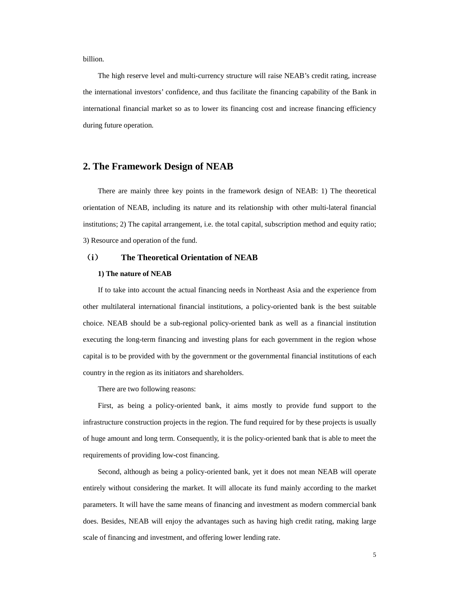billion.

The high reserve level and multi-currency structure will raise NEAB's credit rating, increase the international investors' confidence, and thus facilitate the financing capability of the Bank in international financial market so as to lower its financing cost and increase financing efficiency during future operation.

## **2. The Framework Design of NEAB**

There are mainly three key points in the framework design of NEAB: 1) The theoretical orientation of NEAB, including its nature and its relationship with other multi-lateral financial institutions; 2) The capital arrangement, i.e. the total capital, subscription method and equity ratio; 3) Resource and operation of the fund.

## (**i**) **The Theoretical Orientation of NEAB**

#### **1) The nature of NEAB**

If to take into account the actual financing needs in Northeast Asia and the experience from other multilateral international financial institutions, a policy-oriented bank is the best suitable choice. NEAB should be a sub-regional policy-oriented bank as well as a financial institution executing the long-term financing and investing plans for each government in the region whose capital is to be provided with by the government or the governmental financial institutions of each country in the region as its initiators and shareholders.

There are two following reasons:

First, as being a policy-oriented bank, it aims mostly to provide fund support to the infrastructure construction projects in the region. The fund required for by these projects is usually of huge amount and long term. Consequently, it is the policy-oriented bank that is able to meet the requirements of providing low-cost financing.

Second, although as being a policy-oriented bank, yet it does not mean NEAB will operate entirely without considering the market. It will allocate its fund mainly according to the market parameters. It will have the same means of financing and investment as modern commercial bank does. Besides, NEAB will enjoy the advantages such as having high credit rating, making large scale of financing and investment, and offering lower lending rate.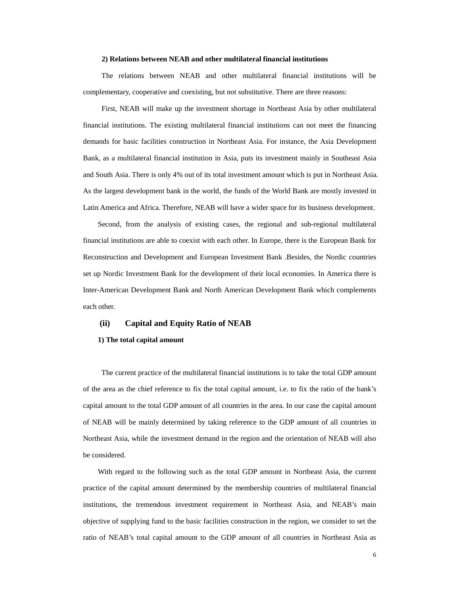#### **2) Relations between NEAB and other multilateral financial institutions**

 The relations between NEAB and other multilateral financial institutions will be complementary, cooperative and coexisting, but not substitutive. There are three reasons:

 First, NEAB will make up the investment shortage in Northeast Asia by other multilateral financial institutions. The existing multilateral financial institutions can not meet the financing demands for basic facilities construction in Northeast Asia. For instance, the Asia Development Bank, as a multilateral financial institution in Asia, puts its investment mainly in Southeast Asia and South Asia. There is only 4% out of its total investment amount which is put in Northeast Asia. As the largest development bank in the world, the funds of the World Bank are mostly invested in Latin America and Africa. Therefore, NEAB will have a wider space for its business development.

Second, from the analysis of existing cases, the regional and sub-regional multilateral financial institutions are able to coexist with each other. In Europe, there is the European Bank for Reconstruction and Development and European Investment Bank .Besides, the Nordic countries set up Nordic Investment Bank for the development of their local economies. In America there is Inter-American Development Bank and North American Development Bank which complements each other.

#### **(ii) Capital and Equity Ratio of NEAB**

#### **1) The total capital amount**

 The current practice of the multilateral financial institutions is to take the total GDP amount of the area as the chief reference to fix the total capital amount, i.e. to fix the ratio of the bank's capital amount to the total GDP amount of all countries in the area. In our case the capital amount of NEAB will be mainly determined by taking reference to the GDP amount of all countries in Northeast Asia, while the investment demand in the region and the orientation of NEAB will also be considered.

With regard to the following such as the total GDP amount in Northeast Asia, the current practice of the capital amount determined by the membership countries of multilateral financial institutions, the tremendous investment requirement in Northeast Asia, and NEAB's main objective of supplying fund to the basic facilities construction in the region, we consider to set the ratio of NEAB's total capital amount to the GDP amount of all countries in Northeast Asia as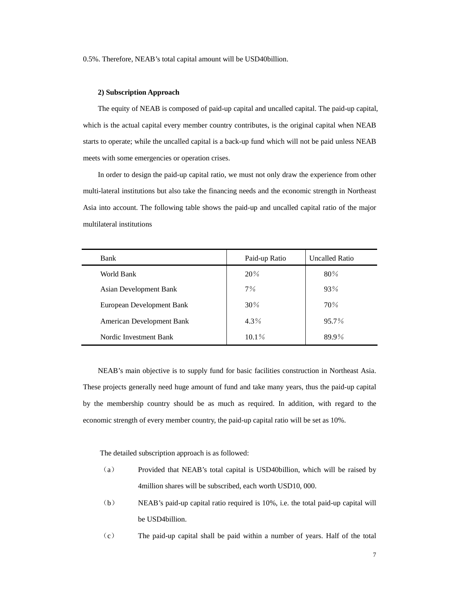0.5%. Therefore, NEAB's total capital amount will be USD40billion.

#### **2) Subscription Approach**

The equity of NEAB is composed of paid-up capital and uncalled capital. The paid-up capital, which is the actual capital every member country contributes, is the original capital when NEAB starts to operate; while the uncalled capital is a back-up fund which will not be paid unless NEAB meets with some emergencies or operation crises.

In order to design the paid-up capital ratio, we must not only draw the experience from other multi-lateral institutions but also take the financing needs and the economic strength in Northeast Asia into account. The following table shows the paid-up and uncalled capital ratio of the major multilateral institutions

| Bank                          | <b>Uncalled Ratio</b><br>Paid-up Ratio |          |
|-------------------------------|----------------------------------------|----------|
| World Bank                    | 20%                                    | 80%      |
| <b>Asian Development Bank</b> | 7%                                     | 93%      |
| European Development Bank     | $30\%$                                 | 70%      |
| American Development Bank     | $4.3\%$                                | $95.7\%$ |
| Nordic Investment Bank        | $10.1\%$                               | 89.9%    |

 NEAB's main objective is to supply fund for basic facilities construction in Northeast Asia. These projects generally need huge amount of fund and take many years, thus the paid-up capital by the membership country should be as much as required. In addition, with regard to the economic strength of every member country, the paid-up capital ratio will be set as 10%.

The detailed subscription approach is as followed:

- (a) Provided that NEAB's total capital is USD40billion, which will be raised by 4million shares will be subscribed, each worth USD10, 000.
- (b) NEAB's paid-up capital ratio required is 10%, i.e. the total paid-up capital will be USD4billion.
- (c) The paid-up capital shall be paid within a number of years. Half of the total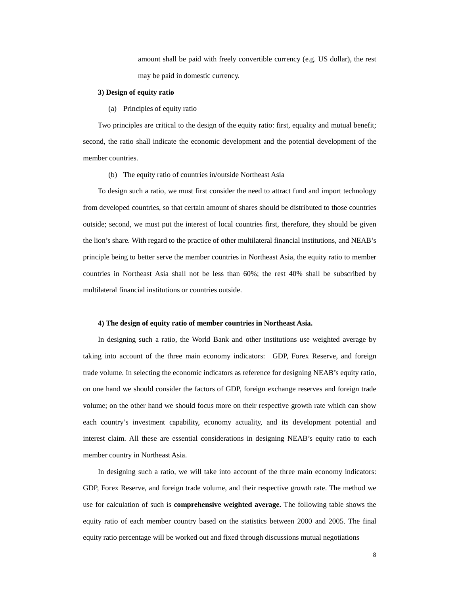amount shall be paid with freely convertible currency (e.g. US dollar), the rest may be paid in domestic currency.

#### **3) Design of equity ratio**

(a) Principles of equity ratio

Two principles are critical to the design of the equity ratio: first, equality and mutual benefit; second, the ratio shall indicate the economic development and the potential development of the member countries.

(b) The equity ratio of countries in/outside Northeast Asia

To design such a ratio, we must first consider the need to attract fund and import technology from developed countries, so that certain amount of shares should be distributed to those countries outside; second, we must put the interest of local countries first, therefore, they should be given the lion's share. With regard to the practice of other multilateral financial institutions, and NEAB's principle being to better serve the member countries in Northeast Asia, the equity ratio to member countries in Northeast Asia shall not be less than 60%; the rest 40% shall be subscribed by multilateral financial institutions or countries outside.

#### **4) The design of equity ratio of member countries in Northeast Asia.**

In designing such a ratio, the World Bank and other institutions use weighted average by taking into account of the three main economy indicators: GDP, Forex Reserve, and foreign trade volume. In selecting the economic indicators as reference for designing NEAB's equity ratio, on one hand we should consider the factors of GDP, foreign exchange reserves and foreign trade volume; on the other hand we should focus more on their respective growth rate which can show each country's investment capability, economy actuality, and its development potential and interest claim. All these are essential considerations in designing NEAB's equity ratio to each member country in Northeast Asia.

In designing such a ratio, we will take into account of the three main economy indicators: GDP, Forex Reserve, and foreign trade volume, and their respective growth rate. The method we use for calculation of such is **comprehensive weighted average.** The following table shows the equity ratio of each member country based on the statistics between 2000 and 2005. The final equity ratio percentage will be worked out and fixed through discussions mutual negotiations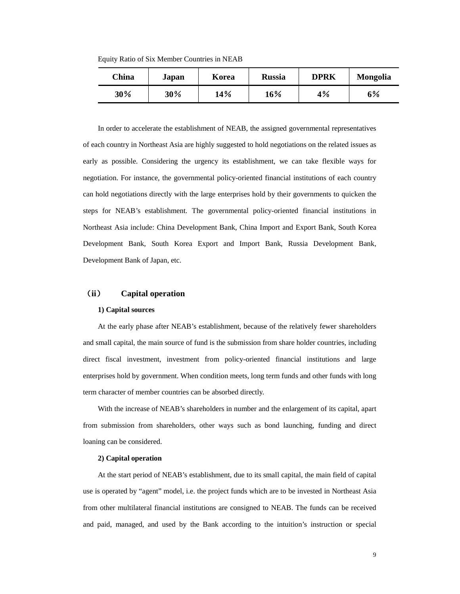Equity Ratio of Six Member Countries in NEAB

| China | Japan | Korea | <b>Russia</b> | <b>DPRK</b> | <b>Mongolia</b> |
|-------|-------|-------|---------------|-------------|-----------------|
| 30%   | 30%   | 14%   | 16%           | 4%          | 6%              |

In order to accelerate the establishment of NEAB, the assigned governmental representatives of each country in Northeast Asia are highly suggested to hold negotiations on the related issues as early as possible. Considering the urgency its establishment, we can take flexible ways for negotiation. For instance, the governmental policy-oriented financial institutions of each country can hold negotiations directly with the large enterprises hold by their governments to quicken the steps for NEAB's establishment. The governmental policy-oriented financial institutions in Northeast Asia include: China Development Bank, China Import and Export Bank, South Korea Development Bank, South Korea Export and Import Bank, Russia Development Bank, Development Bank of Japan, etc.

## (**ii**) **Capital operation**

#### **1) Capital sources**

At the early phase after NEAB's establishment, because of the relatively fewer shareholders and small capital, the main source of fund is the submission from share holder countries, including direct fiscal investment, investment from policy-oriented financial institutions and large enterprises hold by government. When condition meets, long term funds and other funds with long term character of member countries can be absorbed directly.

With the increase of NEAB's shareholders in number and the enlargement of its capital, apart from submission from shareholders, other ways such as bond launching, funding and direct loaning can be considered.

#### **2) Capital operation**

At the start period of NEAB's establishment, due to its small capital, the main field of capital use is operated by "agent" model, i.e. the project funds which are to be invested in Northeast Asia from other multilateral financial institutions are consigned to NEAB. The funds can be received and paid, managed, and used by the Bank according to the intuition's instruction or special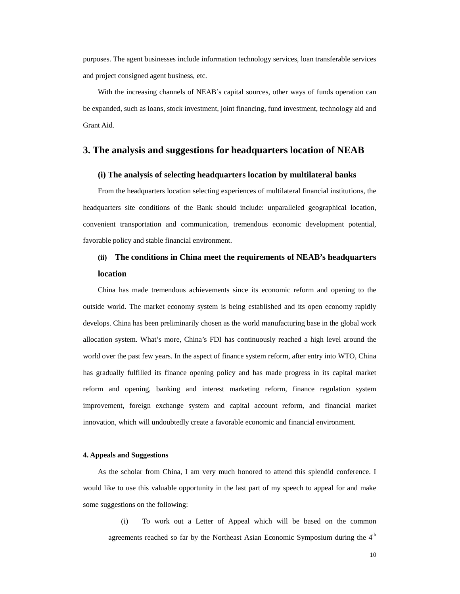purposes. The agent businesses include information technology services, loan transferable services and project consigned agent business, etc.

With the increasing channels of NEAB's capital sources, other ways of funds operation can be expanded, such as loans, stock investment, joint financing, fund investment, technology aid and Grant Aid.

## **3. The analysis and suggestions for headquarters location of NEAB**

## **(i) The analysis of selecting headquarters location by multilateral banks**

From the headquarters location selecting experiences of multilateral financial institutions, the headquarters site conditions of the Bank should include: unparalleled geographical location, convenient transportation and communication, tremendous economic development potential, favorable policy and stable financial environment.

## **(ii) The conditions in China meet the requirements of NEAB's headquarters location**

China has made tremendous achievements since its economic reform and opening to the outside world. The market economy system is being established and its open economy rapidly develops. China has been preliminarily chosen as the world manufacturing base in the global work allocation system. What's more, China's FDI has continuously reached a high level around the world over the past few years. In the aspect of finance system reform, after entry into WTO, China has gradually fulfilled its finance opening policy and has made progress in its capital market reform and opening, banking and interest marketing reform, finance regulation system improvement, foreign exchange system and capital account reform, and financial market innovation, which will undoubtedly create a favorable economic and financial environment.

#### **4. Appeals and Suggestions**

As the scholar from China, I am very much honored to attend this splendid conference. I would like to use this valuable opportunity in the last part of my speech to appeal for and make some suggestions on the following:

(i) To work out a Letter of Appeal which will be based on the common agreements reached so far by the Northeast Asian Economic Symposium during the  $4<sup>th</sup>$